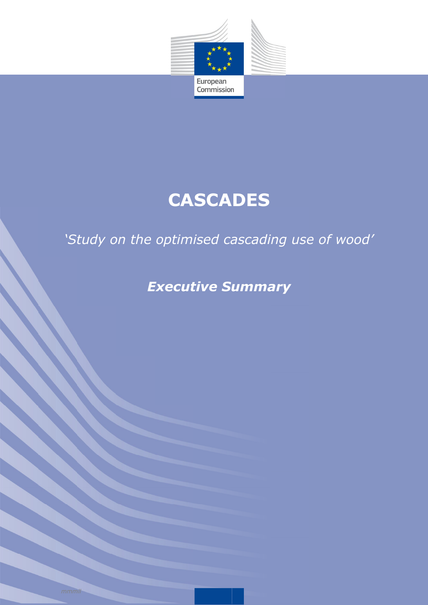

# **CASCADES**

### *'Study on the optimised cascading use of wood'*

*Executive Summary*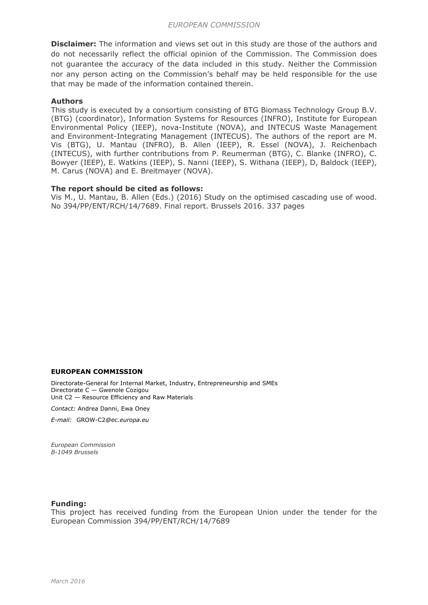**Disclaimer:** The information and views set out in this study are those of the authors and do not necessarily reflect the official opinion of the Commission. The Commission does not guarantee the accuracy of the data included in this study. Neither the Commission nor any person acting on the Commission's behalf may be held responsible for the use that may be made of the information contained therein.

#### **Authors**

This study is executed by a consortium consisting of BTG Biomass Technology Group B.V. (BTG) (coordinator), Information Systems for Resources (INFRO), Institute for European Environmental Policy (IEEP), nova-Institute (NOVA), and INTECUS Waste Management and Environment-Integrating Management (INTECUS). The authors of the report are M. Vis (BTG), U. Mantau (INFRO), B. Allen (IEEP), R. Essel (NOVA), J. Reichenbach (INTECUS), with further contributions from P. Reumerman (BTG), C. Blanke (INFRO), C. Bowyer (IEEP), E. Watkins (IEEP), S. Nanni (IEEP), S. Withana (IEEP), D, Baldock (IEEP), M. Carus (NOVA) and E. Breitmayer (NOVA).

#### **The report should be cited as follows:**

Vis M., U. Mantau, B. Allen (Eds.) (2016) Study on the optimised cascading use of wood. No 394/PP/ENT/RCH/14/7689. Final report. Brussels 2016. 337 pages

#### **EUROPEAN COMMISSION**

Directorate-General for Internal Market, Industry, Entrepreneurship and SMEs Directorate C — Gwenole Cozigou Unit C2 — Resource Efficiency and Raw Materials

*Contact:* Andrea Danni, Ewa Oney

*E-mail:* GROW-C2*@ec.europa.eu*

*European Commission B-1049 Brussels*

#### **Funding:**

This project has received funding from the European Union under the tender for the European Commission 394/PP/ENT/RCH/14/7689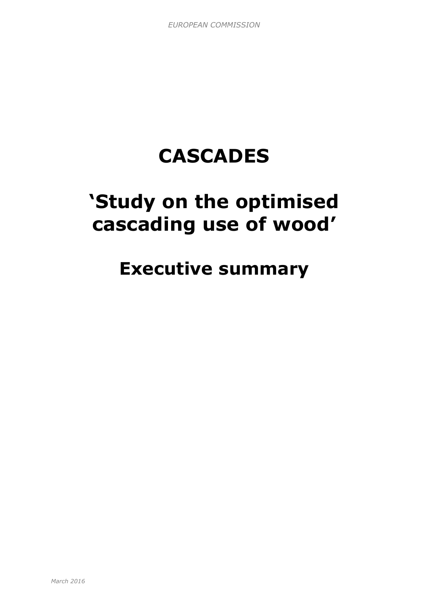# **CASCADES**

## **'Study on the optimised cascading use of wood'**

### **Executive summary**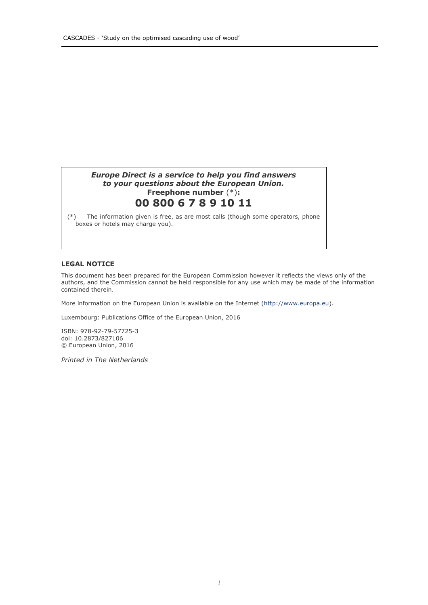#### *Europe Direct is a service to help you find answers to your questions about the European Union.* **Freephone number** (\*)**: 00 800 6 7 8 9 10 11**

(\*) The information given is free, as are most calls (though some operators, phone boxes or hotels may charge you).

#### **LEGAL NOTICE**

This document has been prepared for the European Commission however it reflects the views only of the authors, and the Commission cannot be held responsible for any use which may be made of the information contained therein.

More information on the European Union is available on the Internet (http://www.europa.eu).

Luxembourg: Publications Office of the European Union, 2016

ISBN: 978-92-79-57725-3 doi: 10.2873/827106 © European Union, 2016

*Printed in The Netherlands*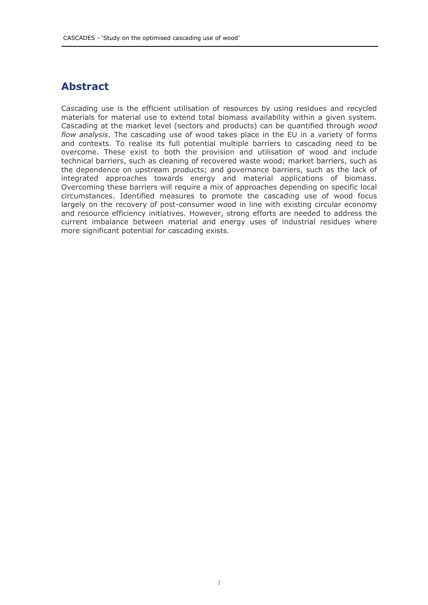### **Abstract**

Cascading use is the efficient utilisation of resources by using residues and recycled materials for material use to extend total biomass availability within a given system. Cascading at the market level (sectors and products) can be quantified through *wood flow analysis.* The cascading use of wood takes place in the EU in a variety of forms and contexts. To realise its full potential multiple barriers to cascading need to be overcome. These exist to both the provision and utilisation of wood and include technical barriers, such as cleaning of recovered waste wood; market barriers, such as the dependence on upstream products; and governance barriers, such as the lack of integrated approaches towards energy and material applications of biomass. Overcoming these barriers will require a mix of approaches depending on specific local circumstances. Identified measures to promote the cascading use of wood focus largely on the recovery of post-consumer wood in line with existing circular economy and resource efficiency initiatives. However, strong efforts are needed to address the current imbalance between material and energy uses of industrial residues where more significant potential for cascading exists.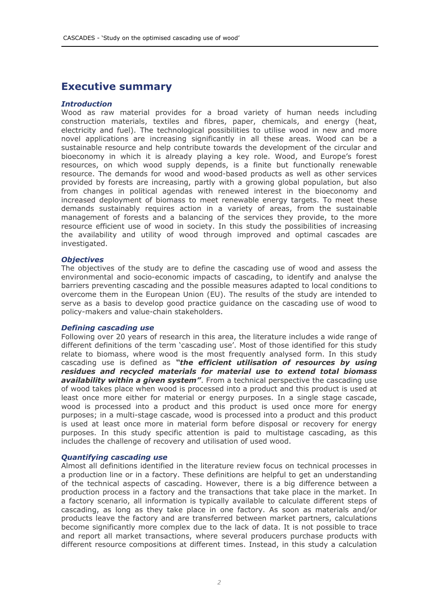### **Executive summary**

#### *Introduction*

Wood as raw material provides for a broad variety of human needs including construction materials, textiles and fibres, paper, chemicals, and energy (heat, electricity and fuel). The technological possibilities to utilise wood in new and more novel applications are increasing significantly in all these areas. Wood can be a sustainable resource and help contribute towards the development of the circular and bioeconomy in which it is already playing a key role. Wood, and Europe's forest resources, on which wood supply depends, is a finite but functionally renewable resource. The demands for wood and wood-based products as well as other services provided by forests are increasing, partly with a growing global population, but also from changes in political agendas with renewed interest in the bioeconomy and increased deployment of biomass to meet renewable energy targets. To meet these demands sustainably requires action in a variety of areas, from the sustainable management of forests and a balancing of the services they provide, to the more resource efficient use of wood in society. In this study the possibilities of increasing the availability and utility of wood through improved and optimal cascades are investigated.

#### *Objectives*

The objectives of the study are to define the cascading use of wood and assess the environmental and socio-economic impacts of cascading, to identify and analyse the barriers preventing cascading and the possible measures adapted to local conditions to overcome them in the European Union (EU). The results of the study are intended to serve as a basis to develop good practice guidance on the cascading use of wood to policy-makers and value-chain stakeholders.

#### *Defining cascading use*

Following over 20 years of research in this area, the literature includes a wide range of different definitions of the term 'cascading use'. Most of those identified for this study relate to biomass, where wood is the most frequently analysed form. In this study cascading use is defined as *"the efficient utilisation of resources by using residues and recycled materials for material use to extend total biomass availability within a given system"*. From a technical perspective the cascading use of wood takes place when wood is processed into a product and this product is used at least once more either for material or energy purposes. In a single stage cascade, wood is processed into a product and this product is used once more for energy purposes; in a multi-stage cascade, wood is processed into a product and this product is used at least once more in material form before disposal or recovery for energy purposes. In this study specific attention is paid to multistage cascading, as this includes the challenge of recovery and utilisation of used wood.

#### *Quantifying cascading use*

Almost all definitions identified in the literature review focus on technical processes in a production line or in a factory. These definitions are helpful to get an understanding of the technical aspects of cascading. However, there is a big difference between a production process in a factory and the transactions that take place in the market. In a factory scenario, all information is typically available to calculate different steps of cascading, as long as they take place in one factory. As soon as materials and/or products leave the factory and are transferred between market partners, calculations become significantly more complex due to the lack of data. It is not possible to trace and report all market transactions, where several producers purchase products with different resource compositions at different times. Instead, in this study a calculation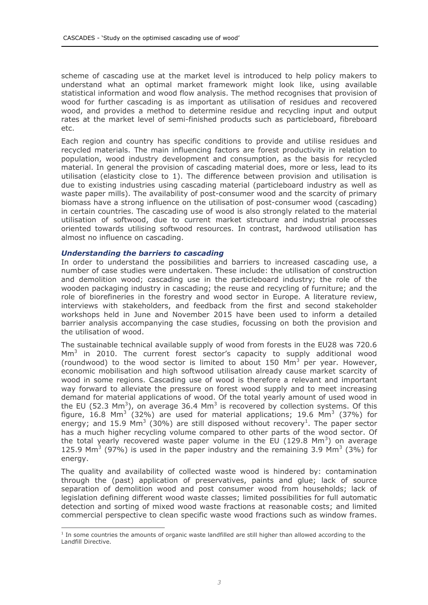scheme of cascading use at the market level is introduced to help policy makers to understand what an optimal market framework might look like, using available statistical information and wood flow analysis. The method recognises that provision of wood for further cascading is as important as utilisation of residues and recovered wood, and provides a method to determine residue and recycling input and output rates at the market level of semi-finished products such as particleboard, fibreboard etc.

Each region and country has specific conditions to provide and utilise residues and recycled materials. The main influencing factors are forest productivity in relation to population, wood industry development and consumption, as the basis for recycled material. In general the provision of cascading material does, more or less, lead to its utilisation (elasticity close to 1). The difference between provision and utilisation is due to existing industries using cascading material (particleboard industry as well as waste paper mills). The availability of post-consumer wood and the scarcity of primary biomass have a strong influence on the utilisation of post-consumer wood (cascading) in certain countries. The cascading use of wood is also strongly related to the material utilisation of softwood, due to current market structure and industrial processes oriented towards utilising softwood resources. In contrast, hardwood utilisation has almost no influence on cascading.

#### *Understanding the barriers to cascading*

In order to understand the possibilities and barriers to increased cascading use, a number of case studies were undertaken. These include: the utilisation of construction and demolition wood; cascading use in the particleboard industry; the role of the wooden packaging industry in cascading; the reuse and recycling of furniture; and the role of biorefineries in the forestry and wood sector in Europe. A literature review, interviews with stakeholders, and feedback from the first and second stakeholder workshops held in June and November 2015 have been used to inform a detailed barrier analysis accompanying the case studies, focussing on both the provision and the utilisation of wood.

The sustainable technical available supply of wood from forests in the EU28 was 720.6  $\text{Mm}^3$  in 2010. The current forest sector's capacity to supply additional wood (roundwood) to the wood sector is limited to about 150  $\text{Mm}^3$  per year. However, economic mobilisation and high softwood utilisation already cause market scarcity of wood in some regions. Cascading use of wood is therefore a relevant and important way forward to alleviate the pressure on forest wood supply and to meet increasing demand for material applications of wood. Of the total yearly amount of used wood in the EU (52.3 Mm<sup>3</sup>), on average 36.4 Mm<sup>3</sup> is recovered by collection systems. Of this figure, 16.8 Mm<sup>3</sup> (32%) are used for material applications; 19.6 Mm<sup>3</sup> (37%) for energy; and 15.9 Mm<sup>3</sup> (30%) are still disposed without recovery<sup>1</sup>. The paper sector has a much higher recycling volume compared to other parts of the wood sector. Of the total yearly recovered waste paper volume in the EU (129.8 Mm<sup>3</sup>) on average 125.9 Mm<sup>3</sup> (97%) is used in the paper industry and the remaining 3.9 Mm<sup>3</sup> (3%) for energy.

The quality and availability of collected waste wood is hindered by: contamination through the (past) application of preservatives, paints and glue; lack of source separation of demolition wood and post consumer wood from households; lack of legislation defining different wood waste classes; limited possibilities for full automatic detection and sorting of mixed wood waste fractions at reasonable costs; and limited commercial perspective to clean specific waste wood fractions such as window frames.

 $<sup>1</sup>$  In some countries the amounts of organic waste landfilled are still higher than allowed according to the</sup> Landfill Directive.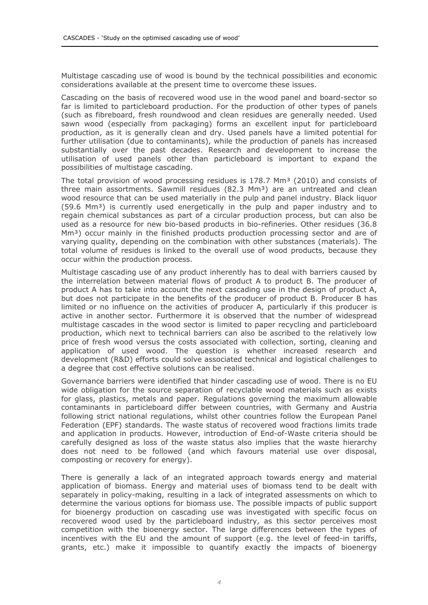Multistage cascading use of wood is bound by the technical possibilities and economic considerations available at the present time to overcome these issues.

Cascading on the basis of recovered wood use in the wood panel and board-sector so far is limited to particleboard production. For the production of other types of panels (such as fibreboard, fresh roundwood and clean residues are generally needed. Used sawn wood (especially from packaging) forms an excellent input for particleboard production, as it is generally clean and dry. Used panels have a limited potential for further utilisation (due to contaminants), while the production of panels has increased substantially over the past decades. Research and development to increase the utilisation of used panels other than particleboard is important to expand the possibilities of multistage cascading.

The total provision of wood processing residues is  $178.7$  Mm<sup>3</sup> (2010) and consists of three main assortments. Sawmill residues  $(82.3 \text{ Mm}^3)$  are an untreated and clean wood resource that can be used materially in the pulp and panel industry. Black liquor  $(59.6 \text{ Mm}^3)$  is currently used energetically in the pulp and paper industry and to regain chemical substances as part of a circular production process, but can also be used as a resource for new bio-based products in bio-refineries. Other residues (36.8 Mm<sup>3</sup>) occur mainly in the finished products production processing sector and are of varying quality, depending on the combination with other substances (materials). The total volume of residues is linked to the overall use of wood products, because they occur within the production process.

Multistage cascading use of any product inherently has to deal with barriers caused by the interrelation between material flows of product A to product B. The producer of product A has to take into account the next cascading use in the design of product A, but does not participate in the benefits of the producer of product B. Producer B has limited or no influence on the activities of producer A, particularly if this producer is active in another sector. Furthermore it is observed that the number of widespread multistage cascades in the wood sector is limited to paper recycling and particleboard production, which next to technical barriers can also be ascribed to the relatively low price of fresh wood versus the costs associated with collection, sorting, cleaning and application of used wood. The question is whether increased research and development (R&D) efforts could solve associated technical and logistical challenges to a degree that cost effective solutions can be realised.

Governance barriers were identified that hinder cascading use of wood. There is no EU wide obligation for the source separation of recyclable wood materials such as exists for glass, plastics, metals and paper. Regulations governing the maximum allowable contaminants in particleboard differ between countries, with Germany and Austria following strict national regulations, whilst other countries follow the European Panel Federation (EPF) standards. The waste status of recovered wood fractions limits trade and application in products. However, introduction of End-of-Waste criteria should be carefully designed as loss of the waste status also implies that the waste hierarchy does not need to be followed (and which favours material use over disposal, composting or recovery for energy).

There is generally a lack of an integrated approach towards energy and material application of biomass. Energy and material uses of biomass tend to be dealt with separately in policy-making, resulting in a lack of integrated assessments on which to determine the various options for biomass use. The possible impacts of public support for bioenergy production on cascading use was investigated with specific focus on recovered wood used by the particleboard industry, as this sector perceives most competition with the bioenergy sector. The large differences between the types of incentives with the EU and the amount of support (e.g. the level of feed-in tariffs, grants, etc.) make it impossible to quantify exactly the impacts of bioenergy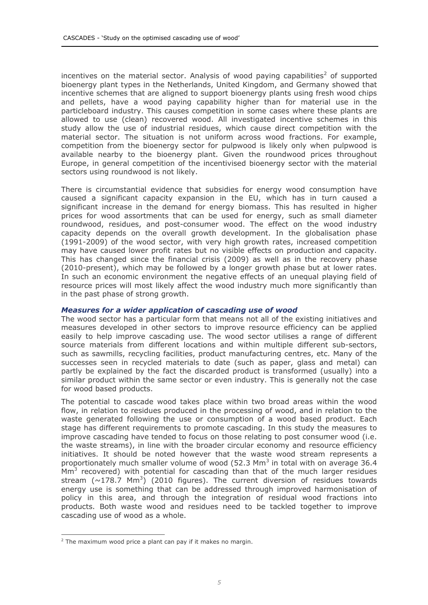incentives on the material sector. Analysis of wood paying capabilities<sup>2</sup> of supported bioenergy plant types in the Netherlands, United Kingdom, and Germany showed that incentive schemes that are aligned to support bioenergy plants using fresh wood chips and pellets, have a wood paying capability higher than for material use in the particleboard industry. This causes competition in some cases where these plants are allowed to use (clean) recovered wood. All investigated incentive schemes in this study allow the use of industrial residues, which cause direct competition with the material sector. The situation is not uniform across wood fractions. For example, competition from the bioenergy sector for pulpwood is likely only when pulpwood is available nearby to the bioenergy plant. Given the roundwood prices throughout Europe, in general competition of the incentivised bioenergy sector with the material sectors using roundwood is not likely.

There is circumstantial evidence that subsidies for energy wood consumption have caused a significant capacity expansion in the EU, which has in turn caused a significant increase in the demand for energy biomass. This has resulted in higher prices for wood assortments that can be used for energy, such as small diameter roundwood, residues, and post-consumer wood. The effect on the wood industry capacity depends on the overall growth development. In the globalisation phase (1991-2009) of the wood sector, with very high growth rates, increased competition may have caused lower profit rates but no visible effects on production and capacity. This has changed since the financial crisis (2009) as well as in the recovery phase (2010-present), which may be followed by a longer growth phase but at lower rates. In such an economic environment the negative effects of an unequal playing field of resource prices will most likely affect the wood industry much more significantly than in the past phase of strong growth.

#### *Measures for a wider application of cascading use of wood*

The wood sector has a particular form that means not all of the existing initiatives and measures developed in other sectors to improve resource efficiency can be applied easily to help improve cascading use. The wood sector utilises a range of different source materials from different locations and within multiple different sub-sectors, such as sawmills, recycling facilities, product manufacturing centres, etc. Many of the successes seen in recycled materials to date (such as paper, glass and metal) can partly be explained by the fact the discarded product is transformed (usually) into a similar product within the same sector or even industry. This is generally not the case for wood based products.

The potential to cascade wood takes place within two broad areas within the wood flow, in relation to residues produced in the processing of wood, and in relation to the waste generated following the use or consumption of a wood based product. Each stage has different requirements to promote cascading. In this study the measures to improve cascading have tended to focus on those relating to post consumer wood (i.e. the waste streams), in line with the broader circular economy and resource efficiency initiatives. It should be noted however that the waste wood stream represents a proportionately much smaller volume of wood (52.3 Mm<sup>3</sup> in total with on average 36.4  $\text{Mm}^3$  recovered) with potential for cascading than that of the much larger residues stream  $(\sim 178.7 \text{ Mm}^3)$  (2010 figures). The current diversion of residues towards energy use is something that can be addressed through improved harmonisation of policy in this area, and through the integration of residual wood fractions into products. Both waste wood and residues need to be tackled together to improve cascading use of wood as a whole.

 $2$  The maximum wood price a plant can pay if it makes no margin.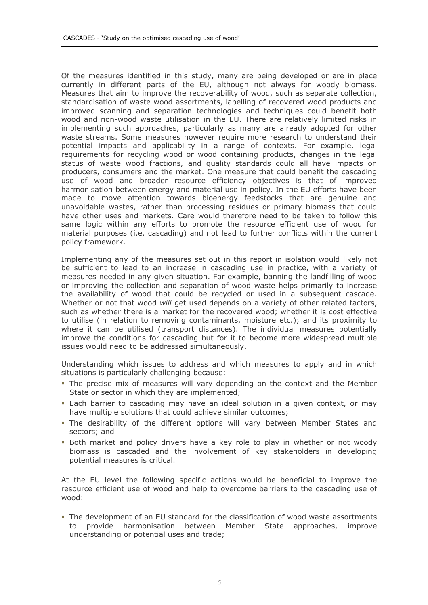Of the measures identified in this study, many are being developed or are in place currently in different parts of the EU, although not always for woody biomass. Measures that aim to improve the recoverability of wood, such as separate collection, standardisation of waste wood assortments, labelling of recovered wood products and improved scanning and separation technologies and techniques could benefit both wood and non-wood waste utilisation in the EU. There are relatively limited risks in implementing such approaches, particularly as many are already adopted for other waste streams. Some measures however require more research to understand their potential impacts and applicability in a range of contexts. For example, legal requirements for recycling wood or wood containing products, changes in the legal status of waste wood fractions, and quality standards could all have impacts on producers, consumers and the market. One measure that could benefit the cascading use of wood and broader resource efficiency objectives is that of improved harmonisation between energy and material use in policy. In the EU efforts have been made to move attention towards bioenergy feedstocks that are genuine and unavoidable wastes, rather than processing residues or primary biomass that could have other uses and markets. Care would therefore need to be taken to follow this same logic within any efforts to promote the resource efficient use of wood for material purposes (i.e. cascading) and not lead to further conflicts within the current policy framework.

Implementing any of the measures set out in this report in isolation would likely not be sufficient to lead to an increase in cascading use in practice, with a variety of measures needed in any given situation. For example, banning the landfilling of wood or improving the collection and separation of wood waste helps primarily to increase the availability of wood that could be recycled or used in a subsequent cascade. Whether or not that wood *will* get used depends on a variety of other related factors, such as whether there is a market for the recovered wood; whether it is cost effective to utilise (in relation to removing contaminants, moisture etc.); and its proximity to where it can be utilised (transport distances). The individual measures potentially improve the conditions for cascading but for it to become more widespread multiple issues would need to be addressed simultaneously.

Understanding which issues to address and which measures to apply and in which situations is particularly challenging because:

- The precise mix of measures will vary depending on the context and the Member State or sector in which they are implemented;
- Each barrier to cascading may have an ideal solution in a given context, or may have multiple solutions that could achieve similar outcomes;
- The desirability of the different options will vary between Member States and sectors; and
- **Both market and policy drivers have a key role to play in whether or not woody** biomass is cascaded and the involvement of key stakeholders in developing potential measures is critical.

At the EU level the following specific actions would be beneficial to improve the resource efficient use of wood and help to overcome barriers to the cascading use of wood:

 The development of an EU standard for the classification of wood waste assortments to provide harmonisation between Member State approaches, improve understanding or potential uses and trade;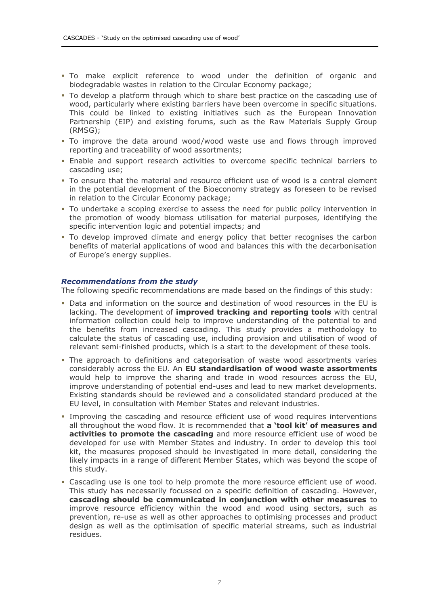- To make explicit reference to wood under the definition of organic and biodegradable wastes in relation to the Circular Economy package;
- To develop a platform through which to share best practice on the cascading use of wood, particularly where existing barriers have been overcome in specific situations. This could be linked to existing initiatives such as the European Innovation Partnership (EIP) and existing forums, such as the Raw Materials Supply Group (RMSG);
- To improve the data around wood/wood waste use and flows through improved reporting and traceability of wood assortments;
- Enable and support research activities to overcome specific technical barriers to cascading use;
- To ensure that the material and resource efficient use of wood is a central element in the potential development of the Bioeconomy strategy as foreseen to be revised in relation to the Circular Economy package;
- To undertake a scoping exercise to assess the need for public policy intervention in the promotion of woody biomass utilisation for material purposes, identifying the specific intervention logic and potential impacts; and
- To develop improved climate and energy policy that better recognises the carbon benefits of material applications of wood and balances this with the decarbonisation of Europe's energy supplies.

#### *Recommendations from the study*

The following specific recommendations are made based on the findings of this study:

- Data and information on the source and destination of wood resources in the EU is lacking. The development of **improved tracking and reporting tools** with central information collection could help to improve understanding of the potential to and the benefits from increased cascading. This study provides a methodology to calculate the status of cascading use, including provision and utilisation of wood of relevant semi-finished products, which is a start to the development of these tools.
- The approach to definitions and categorisation of waste wood assortments varies considerably across the EU. An **EU standardisation of wood waste assortments** would help to improve the sharing and trade in wood resources across the EU, improve understanding of potential end-uses and lead to new market developments. Existing standards should be reviewed and a consolidated standard produced at the EU level, in consultation with Member States and relevant industries.
- Improving the cascading and resource efficient use of wood requires interventions all throughout the wood flow. It is recommended that **a 'tool kit' of measures and activities to promote the cascading** and more resource efficient use of wood be developed for use with Member States and industry. In order to develop this tool kit, the measures proposed should be investigated in more detail, considering the likely impacts in a range of different Member States, which was beyond the scope of this study.
- Cascading use is one tool to help promote the more resource efficient use of wood. This study has necessarily focussed on a specific definition of cascading. However, **cascading should be communicated in conjunction with other measures** to improve resource efficiency within the wood and wood using sectors, such as prevention, re-use as well as other approaches to optimising processes and product design as well as the optimisation of specific material streams, such as industrial residues.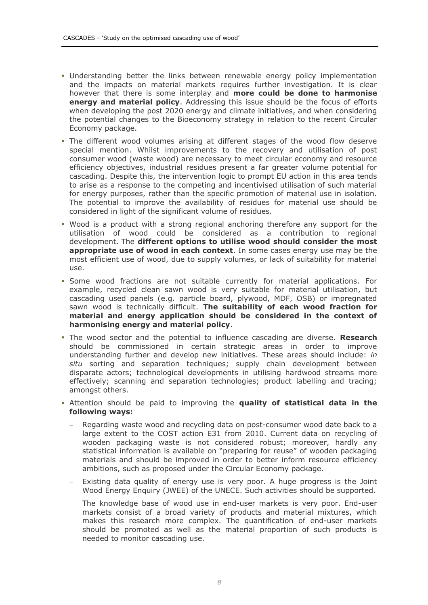- Understanding better the links between renewable energy policy implementation and the impacts on material markets requires further investigation. It is clear however that there is some interplay and **more could be done to harmonise energy and material policy**. Addressing this issue should be the focus of efforts when developing the post 2020 energy and climate initiatives, and when considering the potential changes to the Bioeconomy strategy in relation to the recent Circular Economy package.
- The different wood volumes arising at different stages of the wood flow deserve special mention. Whilst improvements to the recovery and utilisation of post consumer wood (waste wood) are necessary to meet circular economy and resource efficiency objectives, industrial residues present a far greater volume potential for cascading. Despite this, the intervention logic to prompt EU action in this area tends to arise as a response to the competing and incentivised utilisation of such material for energy purposes, rather than the specific promotion of material use in isolation. The potential to improve the availability of residues for material use should be considered in light of the significant volume of residues.
- Wood is a product with a strong regional anchoring therefore any support for the utilisation of wood could be considered as a contribution to regional development. The **different options to utilise wood should consider the most appropriate use of wood in each context**. In some cases energy use may be the most efficient use of wood, due to supply volumes, or lack of suitability for material use.
- Some wood fractions are not suitable currently for material applications. For example, recycled clean sawn wood is very suitable for material utilisation, but cascading used panels (e.g. particle board, plywood, MDF, OSB) or impregnated sawn wood is technically difficult. **The suitability of each wood fraction for material and energy application should be considered in the context of harmonising energy and material policy**.
- The wood sector and the potential to influence cascading are diverse. **Research** should be commissioned in certain strategic areas in order to improve understanding further and develop new initiatives. These areas should include: *in situ* sorting and separation techniques; supply chain development between disparate actors; technological developments in utilising hardwood streams more effectively; scanning and separation technologies; product labelling and tracing; amongst others.
- Attention should be paid to improving the **quality of statistical data in the following ways:**
	- Regarding waste wood and recycling data on post-consumer wood date back to a large extent to the COST action E31 from 2010. Current data on recycling of wooden packaging waste is not considered robust; moreover, hardly any statistical information is available on "preparing for reuse" of wooden packaging materials and should be improved in order to better inform resource efficiency ambitions, such as proposed under the Circular Economy package.
	- Existing data quality of energy use is very poor. A huge progress is the Joint Wood Energy Enquiry (JWEE) of the UNECE. Such activities should be supported.
	- The knowledge base of wood use in end-user markets is very poor. End-user markets consist of a broad variety of products and material mixtures, which makes this research more complex. The quantification of end-user markets should be promoted as well as the material proportion of such products is needed to monitor cascading use.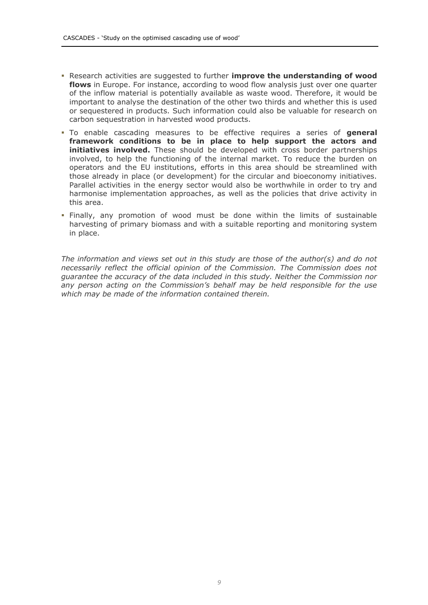- Research activities are suggested to further **improve the understanding of wood flows** in Europe. For instance, according to wood flow analysis just over one quarter of the inflow material is potentially available as waste wood. Therefore, it would be important to analyse the destination of the other two thirds and whether this is used or sequestered in products. Such information could also be valuable for research on carbon sequestration in harvested wood products.
- To enable cascading measures to be effective requires a series of **general framework conditions to be in place to help support the actors and initiatives involved.** These should be developed with cross border partnerships involved, to help the functioning of the internal market. To reduce the burden on operators and the EU institutions, efforts in this area should be streamlined with those already in place (or development) for the circular and bioeconomy initiatives. Parallel activities in the energy sector would also be worthwhile in order to try and harmonise implementation approaches, as well as the policies that drive activity in this area.
- Finally, any promotion of wood must be done within the limits of sustainable harvesting of primary biomass and with a suitable reporting and monitoring system in place.

*The information and views set out in this study are those of the author(s) and do not necessarily reflect the official opinion of the Commission. The Commission does not guarantee the accuracy of the data included in this study. Neither the Commission nor any person acting on the Commission's behalf may be held responsible for the use which may be made of the information contained therein.*